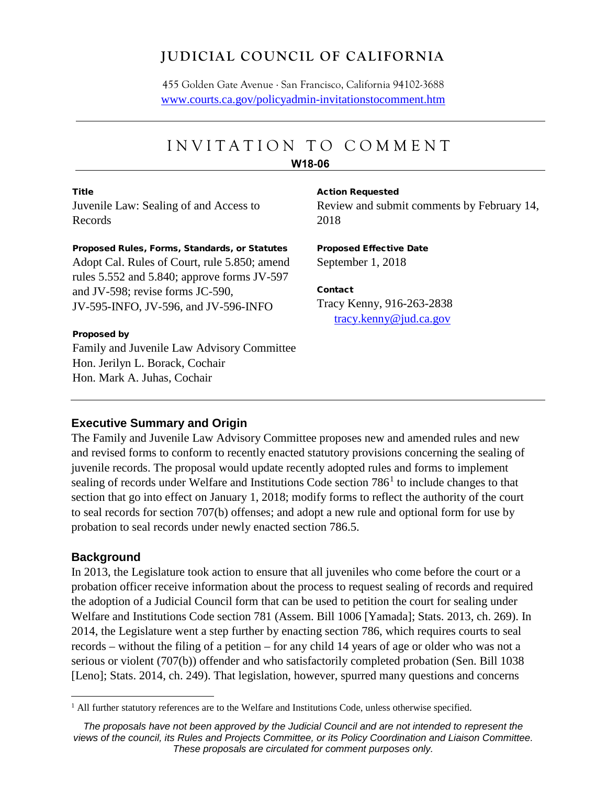# **JUDICIAL COUNCIL OF CALIFORNIA**

455 Golden Gate Avenue . San Francisco, California 94102-3688 [www.courts.ca.gov/policyadmin-invitationstocomment.htm](http://www.courts.ca.gov/policyadmin-invitationstocomment.htm)

# INVITATION TO COMMEN T

#### **W18-06**

**Title** Juvenile Law: Sealing of and Access to Records

# Review and submit comments by February 14,

2018

#### Proposed Rules, Forms, Standards, or Statutes

Adopt Cal. Rules of Court, rule 5.850; amend rules 5.552 and 5.840; approve forms JV-597 and JV-598; revise forms JC-590, JV-595-INFO, JV-596, and JV-596-INFO

#### Proposed by

Family and Juvenile Law Advisory Committee Hon. Jerilyn L. Borack, Cochair Hon. Mark A. Juhas, Cochair

Action Requested

Proposed Effective Date September 1, 2018

Contact Tracy Kenny, 916-263-2838 [tracy.kenny@jud.ca.gov](mailto:tracy.kenny@jud.ca.gov)

#### **Executive Summary and Origin**

The Family and Juvenile Law Advisory Committee proposes new and amended rules and new and revised forms to conform to recently enacted statutory provisions concerning the sealing of juvenile records. The proposal would update recently adopted rules and forms to implement sealing of records under Welfare and Institutions Code section 786<sup>[1](#page-0-0)</sup> to include changes to that section that go into effect on January 1, 2018; modify forms to reflect the authority of the court to seal records for section 707(b) offenses; and adopt a new rule and optional form for use by probation to seal records under newly enacted section 786.5.

#### **Background**

In 2013, the Legislature took action to ensure that all juveniles who come before the court or a probation officer receive information about the process to request sealing of records and required the adoption of a Judicial Council form that can be used to petition the court for sealing under Welfare and Institutions Code section 781 (Assem. Bill 1006 [Yamada]; Stats. 2013, ch. 269). In 2014, the Legislature went a step further by enacting section 786, which requires courts to seal records – without the filing of a petition – for any child 14 years of age or older who was not a serious or violent (707(b)) offender and who satisfactorily completed probation (Sen. Bill 1038 [Leno]; Stats. 2014, ch. 249). That legislation, however, spurred many questions and concerns

<span id="page-0-0"></span><sup>&</sup>lt;sup>1</sup> All further statutory references are to the Welfare and Institutions Code, unless otherwise specified.

*The proposals have not been approved by the Judicial Council and are not intended to represent the views of the council, its Rules and Projects Committee, or its Policy Coordination and Liaison Committee. These proposals are circulated for comment purposes only.*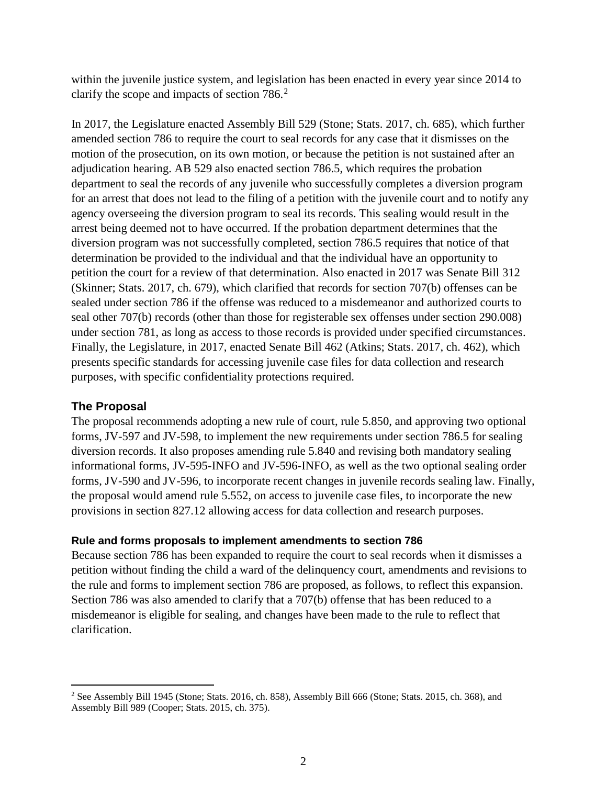within the juvenile justice system, and legislation has been enacted in every year since 2014 to clarify the scope and impacts of section 786.<sup>[2](#page-1-0)</sup>

In 2017, the Legislature enacted Assembly Bill 529 (Stone; Stats. 2017, ch. 685), which further amended section 786 to require the court to seal records for any case that it dismisses on the motion of the prosecution, on its own motion, or because the petition is not sustained after an adjudication hearing. AB 529 also enacted section 786.5, which requires the probation department to seal the records of any juvenile who successfully completes a diversion program for an arrest that does not lead to the filing of a petition with the juvenile court and to notify any agency overseeing the diversion program to seal its records. This sealing would result in the arrest being deemed not to have occurred. If the probation department determines that the diversion program was not successfully completed, section 786.5 requires that notice of that determination be provided to the individual and that the individual have an opportunity to petition the court for a review of that determination. Also enacted in 2017 was Senate Bill 312 (Skinner; Stats. 2017, ch. 679), which clarified that records for section 707(b) offenses can be sealed under section 786 if the offense was reduced to a misdemeanor and authorized courts to seal other 707(b) records (other than those for registerable sex offenses under section 290.008) under section 781, as long as access to those records is provided under specified circumstances. Finally, the Legislature, in 2017, enacted Senate Bill 462 (Atkins; Stats. 2017, ch. 462), which presents specific standards for accessing juvenile case files for data collection and research purposes, with specific confidentiality protections required.

#### **The Proposal**

The proposal recommends adopting a new rule of court, rule 5.850, and approving two optional forms, JV-597 and JV-598, to implement the new requirements under section 786.5 for sealing diversion records. It also proposes amending rule 5.840 and revising both mandatory sealing informational forms, JV-595-INFO and JV-596-INFO, as well as the two optional sealing order forms, JV-590 and JV-596, to incorporate recent changes in juvenile records sealing law. Finally, the proposal would amend rule 5.552, on access to juvenile case files, to incorporate the new provisions in section 827.12 allowing access for data collection and research purposes.

#### **Rule and forms proposals to implement amendments to section 786**

Because section 786 has been expanded to require the court to seal records when it dismisses a petition without finding the child a ward of the delinquency court, amendments and revisions to the rule and forms to implement section 786 are proposed, as follows, to reflect this expansion. Section 786 was also amended to clarify that a 707(b) offense that has been reduced to a misdemeanor is eligible for sealing, and changes have been made to the rule to reflect that clarification.

<span id="page-1-0"></span><sup>&</sup>lt;sup>2</sup> See Assembly Bill 1945 (Stone; Stats. 2016, ch. 858), Assembly Bill 666 (Stone; Stats. 2015, ch. 368), and Assembly Bill 989 (Cooper; Stats. 2015, ch. 375).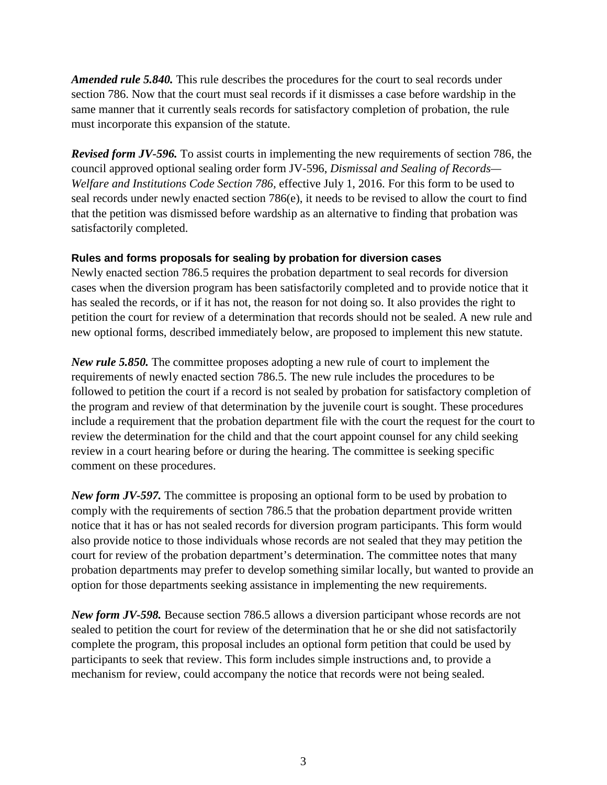*Amended rule 5.840.* This rule describes the procedures for the court to seal records under section 786. Now that the court must seal records if it dismisses a case before wardship in the same manner that it currently seals records for satisfactory completion of probation, the rule must incorporate this expansion of the statute.

*Revised form JV-596.* To assist courts in implementing the new requirements of section 786, the council approved optional sealing order form JV-596, *Dismissal and Sealing of Records— Welfare and Institutions Code Section 786,* effective July 1, 2016. For this form to be used to seal records under newly enacted section 786(e), it needs to be revised to allow the court to find that the petition was dismissed before wardship as an alternative to finding that probation was satisfactorily completed.

#### **Rules and forms proposals for sealing by probation for diversion cases**

Newly enacted section 786.5 requires the probation department to seal records for diversion cases when the diversion program has been satisfactorily completed and to provide notice that it has sealed the records, or if it has not, the reason for not doing so. It also provides the right to petition the court for review of a determination that records should not be sealed. A new rule and new optional forms, described immediately below, are proposed to implement this new statute.

*New rule 5.850.* The committee proposes adopting a new rule of court to implement the requirements of newly enacted section 786.5. The new rule includes the procedures to be followed to petition the court if a record is not sealed by probation for satisfactory completion of the program and review of that determination by the juvenile court is sought. These procedures include a requirement that the probation department file with the court the request for the court to review the determination for the child and that the court appoint counsel for any child seeking review in a court hearing before or during the hearing. The committee is seeking specific comment on these procedures.

*New form JV-597.* The committee is proposing an optional form to be used by probation to comply with the requirements of section 786.5 that the probation department provide written notice that it has or has not sealed records for diversion program participants. This form would also provide notice to those individuals whose records are not sealed that they may petition the court for review of the probation department's determination. The committee notes that many probation departments may prefer to develop something similar locally, but wanted to provide an option for those departments seeking assistance in implementing the new requirements.

*New form JV-598.* Because section 786.5 allows a diversion participant whose records are not sealed to petition the court for review of the determination that he or she did not satisfactorily complete the program, this proposal includes an optional form petition that could be used by participants to seek that review. This form includes simple instructions and, to provide a mechanism for review, could accompany the notice that records were not being sealed.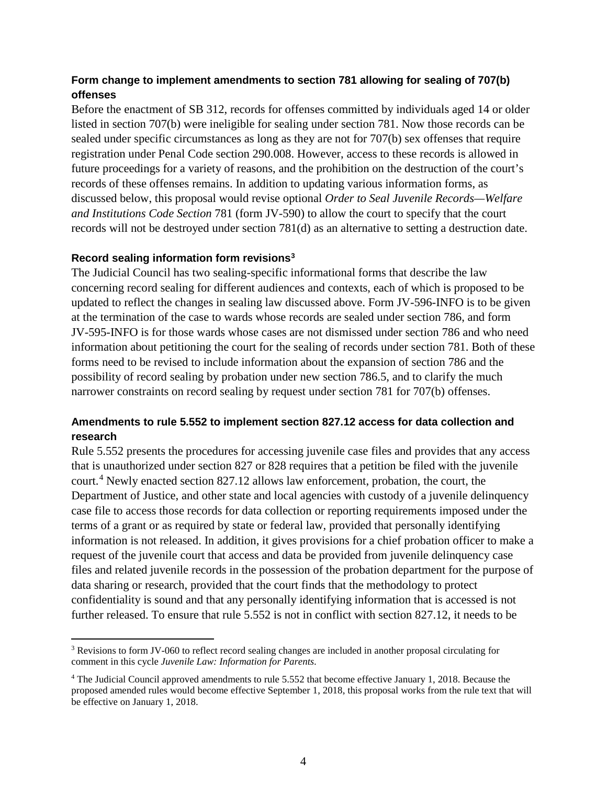#### **Form change to implement amendments to section 781 allowing for sealing of 707(b) offenses**

Before the enactment of SB 312, records for offenses committed by individuals aged 14 or older listed in section 707(b) were ineligible for sealing under section 781. Now those records can be sealed under specific circumstances as long as they are not for 707(b) sex offenses that require registration under Penal Code section 290.008. However, access to these records is allowed in future proceedings for a variety of reasons, and the prohibition on the destruction of the court's records of these offenses remains. In addition to updating various information forms, as discussed below, this proposal would revise optional *Order to Seal Juvenile Records—Welfare and Institutions Code Section* 781 (form JV-590) to allow the court to specify that the court records will not be destroyed under section 781(d) as an alternative to setting a destruction date.

#### **Record sealing information form revisions[3](#page-3-0)**

The Judicial Council has two sealing-specific informational forms that describe the law concerning record sealing for different audiences and contexts, each of which is proposed to be updated to reflect the changes in sealing law discussed above. Form JV-596-INFO is to be given at the termination of the case to wards whose records are sealed under section 786, and form JV-595-INFO is for those wards whose cases are not dismissed under section 786 and who need information about petitioning the court for the sealing of records under section 781. Both of these forms need to be revised to include information about the expansion of section 786 and the possibility of record sealing by probation under new section 786.5, and to clarify the much narrower constraints on record sealing by request under section 781 for 707(b) offenses.

#### **Amendments to rule 5.552 to implement section 827.12 access for data collection and research**

Rule 5.552 presents the procedures for accessing juvenile case files and provides that any access that is unauthorized under section 827 or 828 requires that a petition be filed with the juvenile court.[4](#page-3-1) Newly enacted section 827.12 allows law enforcement, probation, the court, the Department of Justice, and other state and local agencies with custody of a juvenile delinquency case file to access those records for data collection or reporting requirements imposed under the terms of a grant or as required by state or federal law, provided that personally identifying information is not released. In addition, it gives provisions for a chief probation officer to make a request of the juvenile court that access and data be provided from juvenile delinquency case files and related juvenile records in the possession of the probation department for the purpose of data sharing or research, provided that the court finds that the methodology to protect confidentiality is sound and that any personally identifying information that is accessed is not further released. To ensure that rule 5.552 is not in conflict with section 827.12, it needs to be

<span id="page-3-0"></span> <sup>3</sup> Revisions to form JV-060 to reflect record sealing changes are included in another proposal circulating for comment in this cycle *Juvenile Law: Information for Parents*.

<span id="page-3-1"></span><sup>4</sup> The Judicial Council approved amendments to rule 5.552 that become effective January 1, 2018. Because the proposed amended rules would become effective September 1, 2018, this proposal works from the rule text that will be effective on January 1, 2018.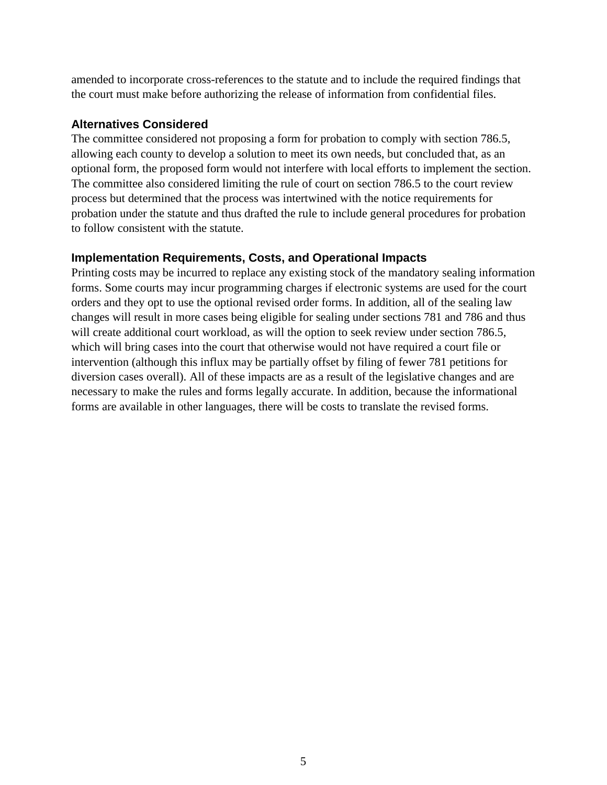amended to incorporate cross-references to the statute and to include the required findings that the court must make before authorizing the release of information from confidential files.

#### **Alternatives Considered**

The committee considered not proposing a form for probation to comply with section 786.5, allowing each county to develop a solution to meet its own needs, but concluded that, as an optional form, the proposed form would not interfere with local efforts to implement the section. The committee also considered limiting the rule of court on section 786.5 to the court review process but determined that the process was intertwined with the notice requirements for probation under the statute and thus drafted the rule to include general procedures for probation to follow consistent with the statute.

#### **Implementation Requirements, Costs, and Operational Impacts**

Printing costs may be incurred to replace any existing stock of the mandatory sealing information forms. Some courts may incur programming charges if electronic systems are used for the court orders and they opt to use the optional revised order forms. In addition, all of the sealing law changes will result in more cases being eligible for sealing under sections 781 and 786 and thus will create additional court workload, as will the option to seek review under section 786.5, which will bring cases into the court that otherwise would not have required a court file or intervention (although this influx may be partially offset by filing of fewer 781 petitions for diversion cases overall). All of these impacts are as a result of the legislative changes and are necessary to make the rules and forms legally accurate. In addition, because the informational forms are available in other languages, there will be costs to translate the revised forms.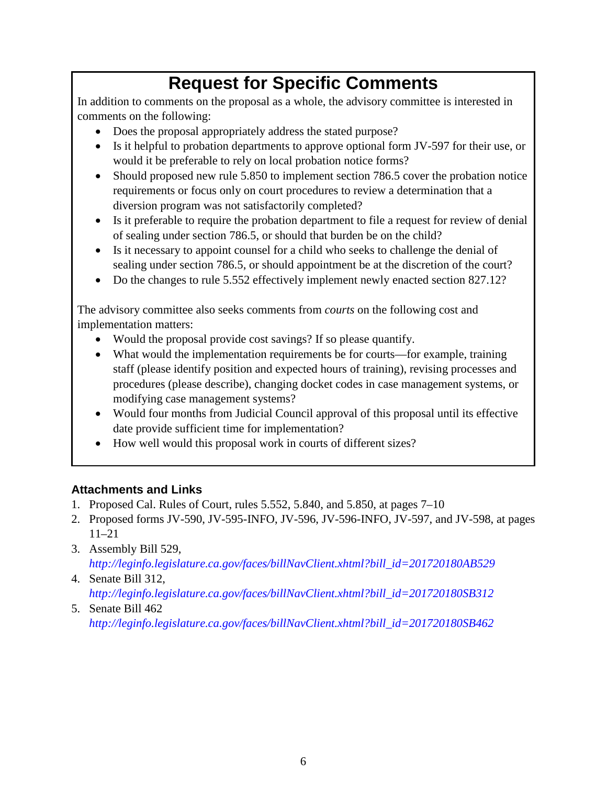# **Request for Specific Comments**

In addition to comments on the proposal as a whole, the advisory committee is interested in comments on the following:

- Does the proposal appropriately address the stated purpose?
- Is it helpful to probation departments to approve optional form JV-597 for their use, or would it be preferable to rely on local probation notice forms?
- Should proposed new rule 5.850 to implement section 786.5 cover the probation notice requirements or focus only on court procedures to review a determination that a diversion program was not satisfactorily completed?
- Is it preferable to require the probation department to file a request for review of denial of sealing under section 786.5, or should that burden be on the child?
- Is it necessary to appoint counsel for a child who seeks to challenge the denial of sealing under section 786.5, or should appointment be at the discretion of the court?
- Do the changes to rule 5.552 effectively implement newly enacted section 827.12?

The advisory committee also seeks comments from *courts* on the following cost and implementation matters:

- Would the proposal provide cost savings? If so please quantify.
- What would the implementation requirements be for courts—for example, training staff (please identify position and expected hours of training), revising processes and procedures (please describe), changing docket codes in case management systems, or modifying case management systems?
- Would four months from Judicial Council approval of this proposal until its effective date provide sufficient time for implementation?
- How well would this proposal work in courts of different sizes?

## **Attachments and Links**

- 1. Proposed Cal. Rules of Court, rules 5.552, 5.840, and 5.850, at pages 7–10
- 2. Proposed forms JV-590, JV-595-INFO, JV-596, JV-596-INFO, JV-597, and JV-598, at pages 11–21
- 3. Assembly Bill 529, *[http://leginfo.legislature.ca.gov/faces/billNavClient.xhtml?bill\\_id=201720180AB529](http://leginfo.legislature.ca.gov/faces/billNavClient.xhtml?bill_id=201720180AB529)*
- 4. Senate Bill 312, *[http://leginfo.legislature.ca.gov/faces/billNavClient.xhtml?bill\\_id=201720180SB312](http://leginfo.legislature.ca.gov/faces/billNavClient.xhtml?bill_id=201720180SB312)*
- 5. Senate Bill 462 *[http://leginfo.legislature.ca.gov/faces/billNavClient.xhtml?bill\\_id=201720180SB462](http://leginfo.legislature.ca.gov/faces/billNavClient.xhtml?bill_id=201720180SB462)*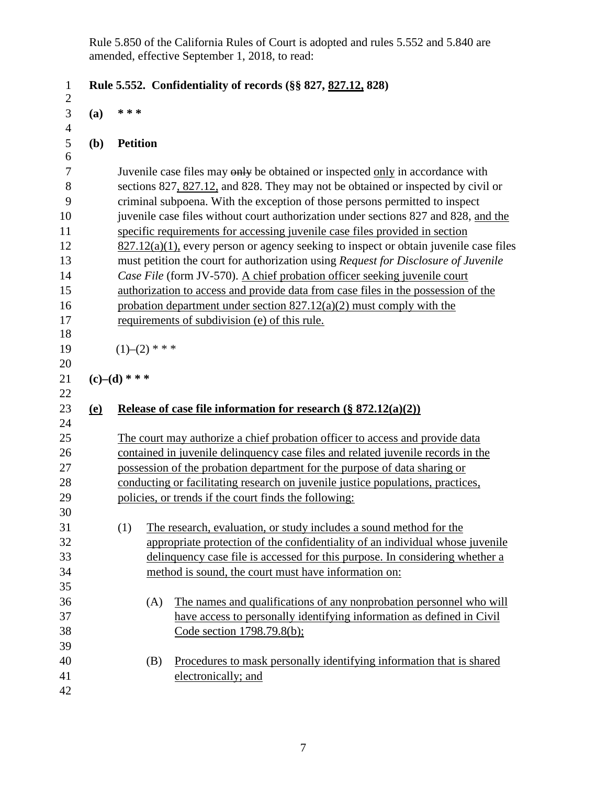Rule 5.850 of the California Rules of Court is adopted and rules 5.552 and 5.840 are amended, effective September 1, 2018, to read:

| $\mathbf{1}$        |                                                                                  | Rule 5.552. Confidentiality of records (§§ 827, 827.12, 828)                             |  |
|---------------------|----------------------------------------------------------------------------------|------------------------------------------------------------------------------------------|--|
| $\overline{2}$      |                                                                                  | * * *                                                                                    |  |
| 3<br>$\overline{4}$ | (a)                                                                              |                                                                                          |  |
| 5                   | (b)                                                                              | <b>Petition</b>                                                                          |  |
| 6                   |                                                                                  |                                                                                          |  |
| 7                   |                                                                                  | Juvenile case files may only be obtained or inspected only in accordance with            |  |
| 8                   |                                                                                  | sections 827, 827.12, and 828. They may not be obtained or inspected by civil or         |  |
| 9                   |                                                                                  | criminal subpoena. With the exception of those persons permitted to inspect              |  |
| 10                  |                                                                                  | juvenile case files without court authorization under sections 827 and 828, and the      |  |
| 11                  |                                                                                  | specific requirements for accessing juvenile case files provided in section              |  |
| 12                  |                                                                                  | $827.12(a)(1)$ , every person or agency seeking to inspect or obtain juvenile case files |  |
| 13                  |                                                                                  | must petition the court for authorization using Request for Disclosure of Juvenile       |  |
| 14                  |                                                                                  | Case File (form JV-570). A chief probation officer seeking juvenile court                |  |
| 15                  |                                                                                  | authorization to access and provide data from case files in the possession of the        |  |
| 16                  |                                                                                  | probation department under section $827.12(a)(2)$ must comply with the                   |  |
| 17                  |                                                                                  | requirements of subdivision (e) of this rule.                                            |  |
| 18                  |                                                                                  |                                                                                          |  |
| 19                  |                                                                                  | $(1)$ – $(2)$ * * *                                                                      |  |
| 20                  |                                                                                  |                                                                                          |  |
| 21                  |                                                                                  | $(c)$ – $(d)$ * * *                                                                      |  |
| 22                  |                                                                                  |                                                                                          |  |
| 23                  | <u>(e)</u>                                                                       | Release of case file information for research $(\S 872.12(a)(2))$                        |  |
| 24                  |                                                                                  |                                                                                          |  |
| 25                  |                                                                                  | The court may authorize a chief probation officer to access and provide data             |  |
| 26                  | contained in juvenile delinquency case files and related juvenile records in the |                                                                                          |  |
| 27                  | possession of the probation department for the purpose of data sharing or        |                                                                                          |  |
| 28                  |                                                                                  | conducting or facilitating research on juvenile justice populations, practices,          |  |
| 29                  | policies, or trends if the court finds the following:                            |                                                                                          |  |
| 30                  |                                                                                  |                                                                                          |  |
| 31                  |                                                                                  | (1)<br>The research, evaluation, or study includes a sound method for the                |  |
| 32                  |                                                                                  | appropriate protection of the confidentiality of an individual whose juvenile            |  |
| 33                  |                                                                                  | delinquency case file is accessed for this purpose. In considering whether a             |  |
| 34                  |                                                                                  | method is sound, the court must have information on:                                     |  |
| 35                  |                                                                                  |                                                                                          |  |
| 36                  |                                                                                  | The names and qualifications of any nonprobation personnel who will<br>(A)               |  |
| 37                  |                                                                                  | have access to personally identifying information as defined in Civil                    |  |
| 38                  |                                                                                  | Code section 1798.79.8(b);                                                               |  |
| 39                  |                                                                                  |                                                                                          |  |
| 40                  |                                                                                  | Procedures to mask personally identifying information that is shared<br>(B)              |  |
| 41                  |                                                                                  | electronically; and                                                                      |  |
| 42                  |                                                                                  |                                                                                          |  |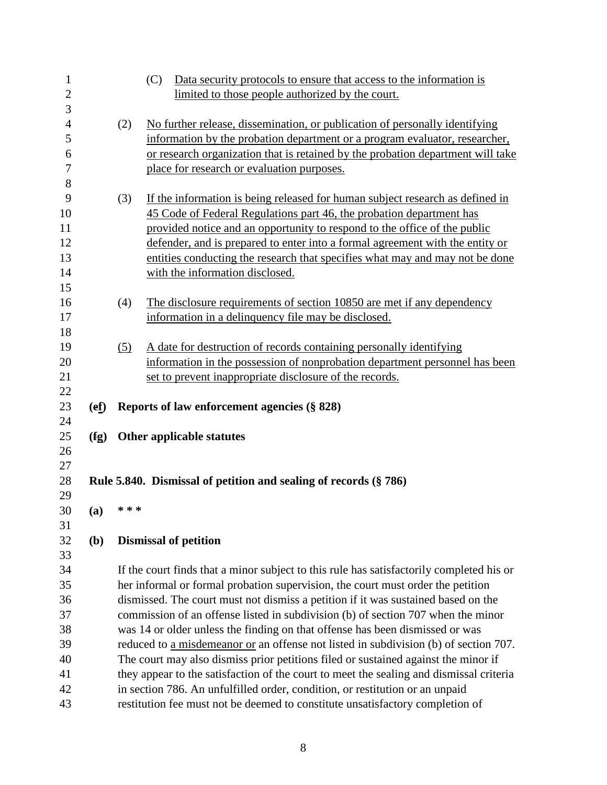| $\mathbf{1}$<br>$\mathbf{2}$ |              |                                                                                   | (C)<br>Data security protocols to ensure that access to the information is               |  |
|------------------------------|--------------|-----------------------------------------------------------------------------------|------------------------------------------------------------------------------------------|--|
| 3                            |              |                                                                                   | limited to those people authorized by the court.                                         |  |
| $\overline{4}$               |              | (2)                                                                               | No further release, dissemination, or publication of personally identifying              |  |
| 5                            |              |                                                                                   | information by the probation department or a program evaluator, researcher,              |  |
| 6                            |              |                                                                                   | or research organization that is retained by the probation department will take          |  |
| 7                            |              |                                                                                   | place for research or evaluation purposes.                                               |  |
| 8                            |              |                                                                                   |                                                                                          |  |
| 9                            |              | (3)                                                                               | If the information is being released for human subject research as defined in            |  |
| 10                           |              |                                                                                   | 45 Code of Federal Regulations part 46, the probation department has                     |  |
| 11                           |              |                                                                                   | provided notice and an opportunity to respond to the office of the public                |  |
| 12                           |              |                                                                                   | defender, and is prepared to enter into a formal agreement with the entity or            |  |
| 13                           |              |                                                                                   | entities conducting the research that specifies what may and may not be done             |  |
| 14                           |              |                                                                                   | with the information disclosed.                                                          |  |
| 15                           |              |                                                                                   |                                                                                          |  |
| 16                           |              | (4)                                                                               | The disclosure requirements of section 10850 are met if any dependency                   |  |
| 17                           |              |                                                                                   | information in a delinquency file may be disclosed.                                      |  |
| 18                           |              |                                                                                   |                                                                                          |  |
| 19                           |              | (5)                                                                               | A date for destruction of records containing personally identifying                      |  |
| 20                           |              |                                                                                   | information in the possession of nonprobation department personnel has been              |  |
| 21                           |              |                                                                                   | set to prevent inappropriate disclosure of the records.                                  |  |
| 22                           |              |                                                                                   |                                                                                          |  |
| 23                           | (ef)         |                                                                                   | Reports of law enforcement agencies (§ 828)                                              |  |
| 24                           |              |                                                                                   |                                                                                          |  |
| 25                           | (fg)         |                                                                                   | Other applicable statutes                                                                |  |
| 26                           |              |                                                                                   |                                                                                          |  |
| 27                           |              |                                                                                   |                                                                                          |  |
| 28                           |              |                                                                                   | Rule 5.840. Dismissal of petition and sealing of records $(\S 786)$                      |  |
| 29                           |              |                                                                                   |                                                                                          |  |
| 30                           | (a)          | * * *                                                                             |                                                                                          |  |
| 31                           |              |                                                                                   |                                                                                          |  |
| 32                           | ( <b>b</b> ) |                                                                                   | <b>Dismissal of petition</b>                                                             |  |
| 33                           |              |                                                                                   |                                                                                          |  |
| 34                           |              |                                                                                   | If the court finds that a minor subject to this rule has satisfactorily completed his or |  |
| 35                           |              | her informal or formal probation supervision, the court must order the petition   |                                                                                          |  |
| 36                           |              | dismissed. The court must not dismiss a petition if it was sustained based on the |                                                                                          |  |
| 37                           |              | commission of an offense listed in subdivision (b) of section 707 when the minor  |                                                                                          |  |
| 38                           |              |                                                                                   | was 14 or older unless the finding on that offense has been dismissed or was             |  |
| 39                           |              |                                                                                   | reduced to a misdemeanor or an offense not listed in subdivision (b) of section 707.     |  |
| 40                           |              |                                                                                   | The court may also dismiss prior petitions filed or sustained against the minor if       |  |
| 41                           |              |                                                                                   | they appear to the satisfaction of the court to meet the sealing and dismissal criteria  |  |
| 42                           |              |                                                                                   | in section 786. An unfulfilled order, condition, or restitution or an unpaid             |  |
| 43                           |              |                                                                                   | restitution fee must not be deemed to constitute unsatisfactory completion of            |  |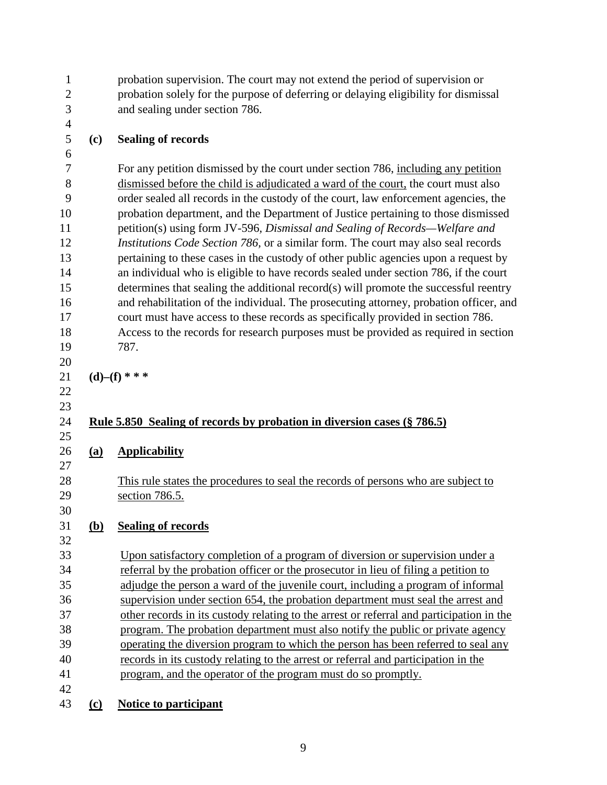probation supervision. The court may not extend the period of supervision or probation solely for the purpose of deferring or delaying eligibility for dismissal and sealing under section 786. **(c) Sealing of records** For any petition dismissed by the court under section 786, including any petition dismissed before the child is adjudicated a ward of the court, the court must also order sealed all records in the custody of the court, law enforcement agencies, the probation department, and the Department of Justice pertaining to those dismissed petition(s) using form JV-596*, Dismissal and Sealing of Records—Welfare and Institutions Code Section 786,* or a similar form. The court may also seal records pertaining to these cases in the custody of other public agencies upon a request by 14 an individual who is eligible to have records sealed under section 786, if the court determines that sealing the additional record(s) will promote the successful reentry and rehabilitation of the individual. The prosecuting attorney, probation officer, and court must have access to these records as specifically provided in section 786. Access to the records for research purposes must be provided as required in section 787. **(d)–(f) \* \* \* Rule 5.850 Sealing of records by probation in diversion cases (§ 786.5) (a) Applicability** This rule states the procedures to seal the records of persons who are subject to section 786.5. **(b) Sealing of records** Upon satisfactory completion of a program of diversion or supervision under a referral by the probation officer or the prosecutor in lieu of filing a petition to adjudge the person a ward of the juvenile court, including a program of informal supervision under section 654, the probation department must seal the arrest and other records in its custody relating to the arrest or referral and participation in the program. The probation department must also notify the public or private agency operating the diversion program to which the person has been referred to seal any records in its custody relating to the arrest or referral and participation in the program, and the operator of the program must do so promptly. 

**(c) Notice to participant**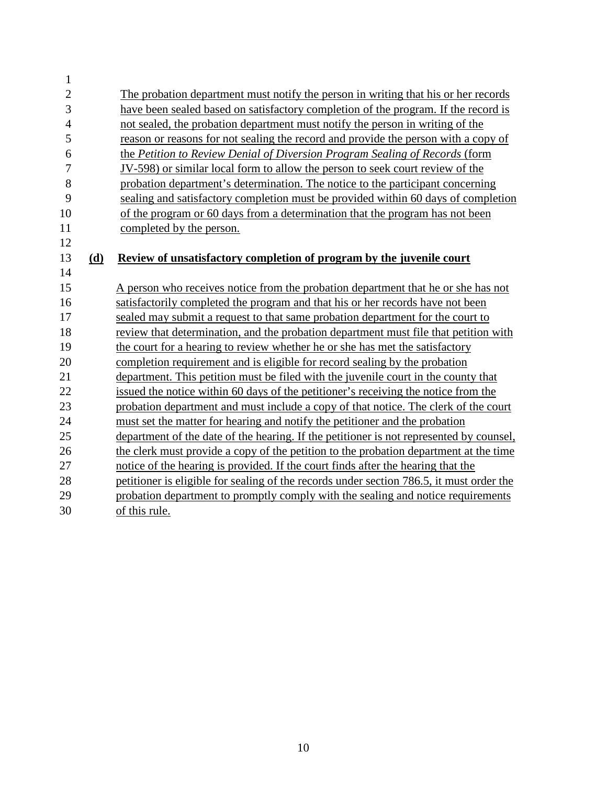| $\mathbf{1}$   |     |                                                                                          |
|----------------|-----|------------------------------------------------------------------------------------------|
| $\overline{2}$ |     | The probation department must notify the person in writing that his or her records       |
| 3              |     | have been sealed based on satisfactory completion of the program. If the record is       |
| 4              |     | not sealed, the probation department must notify the person in writing of the            |
| 5              |     | reason or reasons for not sealing the record and provide the person with a copy of       |
| 6              |     | the Petition to Review Denial of Diversion Program Sealing of Records (form              |
| 7              |     | JV-598) or similar local form to allow the person to seek court review of the            |
| 8              |     | probation department's determination. The notice to the participant concerning           |
| 9              |     | sealing and satisfactory completion must be provided within 60 days of completion        |
| 10             |     | of the program or 60 days from a determination that the program has not been             |
| 11             |     | completed by the person.                                                                 |
| 12             |     |                                                                                          |
| 13             | (d) | Review of unsatisfactory completion of program by the juvenile court                     |
| 14             |     |                                                                                          |
| 15             |     | A person who receives notice from the probation department that he or she has not        |
| 16             |     | satisfactorily completed the program and that his or her records have not been           |
| 17             |     | sealed may submit a request to that same probation department for the court to           |
| 18             |     | review that determination, and the probation department must file that petition with     |
| 19             |     | the court for a hearing to review whether he or she has met the satisfactory             |
| 20             |     | completion requirement and is eligible for record sealing by the probation               |
| 21             |     | department. This petition must be filed with the juvenile court in the county that       |
| 22             |     | issued the notice within 60 days of the petitioner's receiving the notice from the       |
| 23             |     | probation department and must include a copy of that notice. The clerk of the court      |
| 24             |     | must set the matter for hearing and notify the petitioner and the probation              |
| 25             |     | department of the date of the hearing. If the petitioner is not represented by counsel,  |
| 26             |     | the clerk must provide a copy of the petition to the probation department at the time    |
| 27             |     | notice of the hearing is provided. If the court finds after the hearing that the         |
| 28             |     | petitioner is eligible for sealing of the records under section 786.5, it must order the |
| 29             |     | probation department to promptly comply with the sealing and notice requirements         |
| 30             |     | of this rule.                                                                            |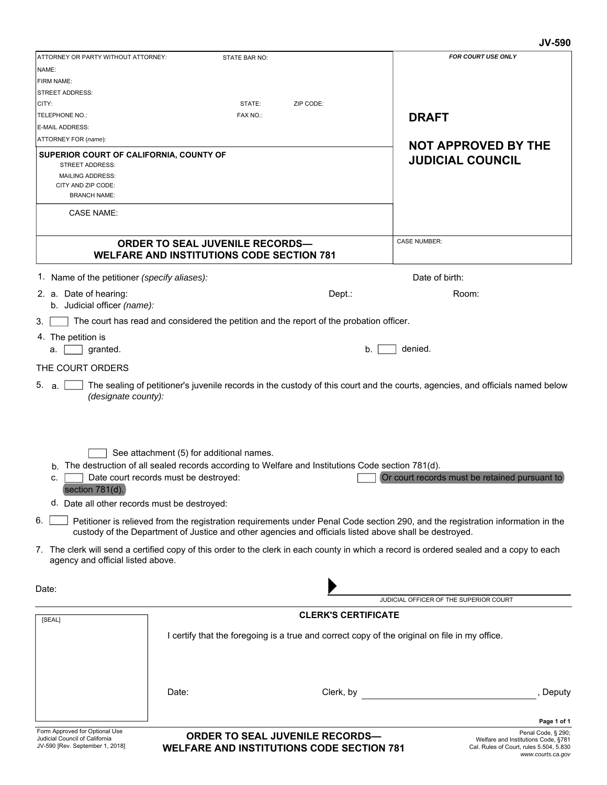#### **JV-590**

|                                                                                                                                                                                                                                                    |                                                                                                                                                                               |           | ,,,,,,                                                                                                                    |
|----------------------------------------------------------------------------------------------------------------------------------------------------------------------------------------------------------------------------------------------------|-------------------------------------------------------------------------------------------------------------------------------------------------------------------------------|-----------|---------------------------------------------------------------------------------------------------------------------------|
| ATTORNEY OR PARTY WITHOUT ATTORNEY:                                                                                                                                                                                                                | STATE BAR NO:                                                                                                                                                                 |           | FOR COURT USE ONLY                                                                                                        |
| NAME:                                                                                                                                                                                                                                              |                                                                                                                                                                               |           |                                                                                                                           |
| FIRM NAME:                                                                                                                                                                                                                                         |                                                                                                                                                                               |           |                                                                                                                           |
| <b>STREET ADDRESS:</b>                                                                                                                                                                                                                             |                                                                                                                                                                               |           |                                                                                                                           |
| CITY:                                                                                                                                                                                                                                              | STATE:                                                                                                                                                                        | ZIP CODE: |                                                                                                                           |
| TELEPHONE NO.:                                                                                                                                                                                                                                     | FAX NO.:                                                                                                                                                                      |           | <b>DRAFT</b>                                                                                                              |
| <b>E-MAIL ADDRESS:</b>                                                                                                                                                                                                                             |                                                                                                                                                                               |           |                                                                                                                           |
| ATTORNEY FOR (name):                                                                                                                                                                                                                               |                                                                                                                                                                               |           | <b>NOT APPROVED BY THE</b>                                                                                                |
| SUPERIOR COURT OF CALIFORNIA, COUNTY OF                                                                                                                                                                                                            |                                                                                                                                                                               |           | <b>JUDICIAL COUNCIL</b>                                                                                                   |
| <b>STREET ADDRESS:</b>                                                                                                                                                                                                                             |                                                                                                                                                                               |           |                                                                                                                           |
| <b>MAILING ADDRESS:</b><br>CITY AND ZIP CODE:                                                                                                                                                                                                      |                                                                                                                                                                               |           |                                                                                                                           |
| <b>BRANCH NAME:</b>                                                                                                                                                                                                                                |                                                                                                                                                                               |           |                                                                                                                           |
|                                                                                                                                                                                                                                                    |                                                                                                                                                                               |           |                                                                                                                           |
| <b>CASE NAME:</b>                                                                                                                                                                                                                                  |                                                                                                                                                                               |           |                                                                                                                           |
|                                                                                                                                                                                                                                                    |                                                                                                                                                                               |           |                                                                                                                           |
|                                                                                                                                                                                                                                                    | <b>ORDER TO SEAL JUVENILE RECORDS-</b>                                                                                                                                        |           | <b>CASE NUMBER:</b>                                                                                                       |
|                                                                                                                                                                                                                                                    | <b>WELFARE AND INSTITUTIONS CODE SECTION 781</b>                                                                                                                              |           |                                                                                                                           |
| 1. Name of the petitioner (specify aliases):                                                                                                                                                                                                       |                                                                                                                                                                               |           | Date of birth:                                                                                                            |
|                                                                                                                                                                                                                                                    |                                                                                                                                                                               |           |                                                                                                                           |
| 2. a. Date of hearing:                                                                                                                                                                                                                             |                                                                                                                                                                               | Dept.:    | Room:                                                                                                                     |
| b. Judicial officer (name):                                                                                                                                                                                                                        |                                                                                                                                                                               |           |                                                                                                                           |
| 3.                                                                                                                                                                                                                                                 | The court has read and considered the petition and the report of the probation officer.                                                                                       |           |                                                                                                                           |
| 4. The petition is                                                                                                                                                                                                                                 |                                                                                                                                                                               |           |                                                                                                                           |
| granted.<br>a.                                                                                                                                                                                                                                     |                                                                                                                                                                               | b.        | denied.                                                                                                                   |
| THE COURT ORDERS                                                                                                                                                                                                                                   |                                                                                                                                                                               |           |                                                                                                                           |
|                                                                                                                                                                                                                                                    |                                                                                                                                                                               |           |                                                                                                                           |
| See attachment (5) for additional names.<br>The destruction of all sealed records according to Welfare and Institutions Code section 781(d).<br>b.<br>Or court records must be retained pursuant to<br>Date court records must be destroyed:<br>c. |                                                                                                                                                                               |           |                                                                                                                           |
| section 781(d).                                                                                                                                                                                                                                    |                                                                                                                                                                               |           |                                                                                                                           |
| d. Date all other records must be destroyed:                                                                                                                                                                                                       |                                                                                                                                                                               |           |                                                                                                                           |
| 6.<br>Petitioner is relieved from the registration requirements under Penal Code section 290, and the registration information in the<br>custody of the Department of Justice and other agencies and officials listed above shall be destroyed.    |                                                                                                                                                                               |           |                                                                                                                           |
|                                                                                                                                                                                                                                                    | 7. The clerk will send a certified copy of this order to the clerk in each county in which a record is ordered sealed and a copy to each<br>agency and official listed above. |           |                                                                                                                           |
|                                                                                                                                                                                                                                                    |                                                                                                                                                                               |           |                                                                                                                           |
| Date:                                                                                                                                                                                                                                              |                                                                                                                                                                               |           | JUDICIAL OFFICER OF THE SUPERIOR COURT                                                                                    |
|                                                                                                                                                                                                                                                    |                                                                                                                                                                               |           |                                                                                                                           |
| <b>CLERK'S CERTIFICATE</b><br>[SEAL]                                                                                                                                                                                                               |                                                                                                                                                                               |           |                                                                                                                           |
| I certify that the foregoing is a true and correct copy of the original on file in my office.                                                                                                                                                      |                                                                                                                                                                               |           |                                                                                                                           |
|                                                                                                                                                                                                                                                    | Date:                                                                                                                                                                         | Clerk, by | , Deputy                                                                                                                  |
|                                                                                                                                                                                                                                                    |                                                                                                                                                                               |           |                                                                                                                           |
|                                                                                                                                                                                                                                                    |                                                                                                                                                                               |           | Page 1 of 1                                                                                                               |
| Form Approved for Optional Use<br>Judicial Council of California<br>JV-590 [Rev. September 1, 2018]                                                                                                                                                | <b>ORDER TO SEAL JUVENILE RECORDS-</b><br><b>WELFARE AND INSTITUTIONS CODE SECTION 781</b>                                                                                    |           | Penal Code, § 290;<br>Welfare and Institutions Code, §781<br>Cal. Rules of Court, rules 5.504, 5.830<br>www.courts.ca.gov |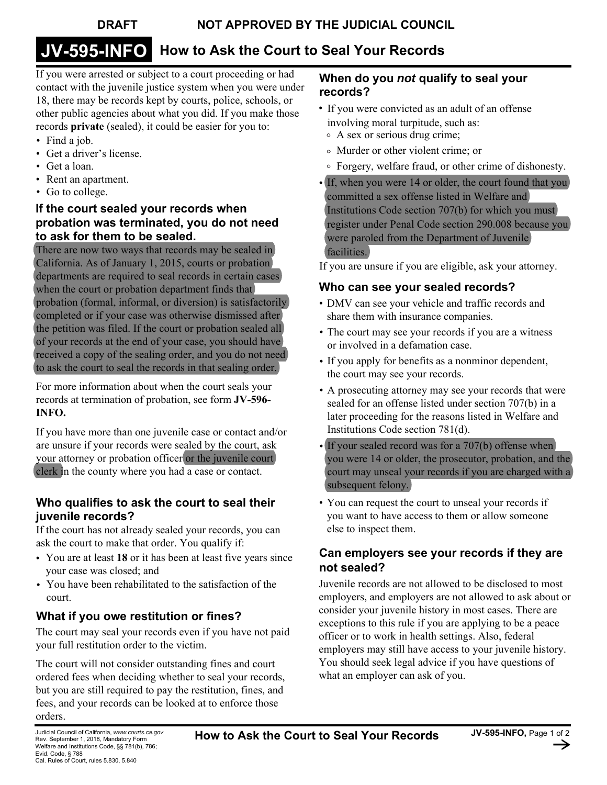# **JV-595-INFO How to Ask the Court to Seal Your Records**

If you were arrested or subject to a court proceeding or had contact with the juvenile justice system when you were under 18, there may be records kept by courts, police, schools, or other public agencies about what you did. If you make those records **private** (sealed), it could be easier for you to:

- Find a job.
- Get a driver's license.
- Get a loan.
- Rent an apartment.
- Go to college.

## **If the court sealed your records when probation was terminated, you do not need to ask for them to be sealed.**

There are now two ways that records may be sealed in California. As of January 1, 2015, courts or probation departments are required to seal records in certain cases when the court or probation department finds that probation (formal, informal, or diversion) is satisfactorily completed or if your case was otherwise dismissed after the petition was filed. If the court or probation sealed all of your records at the end of your case, you should have received a copy of the sealing order, and you do not need to ask the court to seal the records in that sealing order.

For more information about when the court seals your records at termination of probation, see form **JV-596- INFO.** 

If you have more than one juvenile case or contact and/or are unsure if your records were sealed by the court, ask your attorney or probation officer or the juvenile court clerk in the county where you had a case or contact.

## **Who qualifies to ask the court to seal their juvenile records?**

If the court has not already sealed your records, you can ask the court to make that order. You qualify if:

- You are at least **18** or it has been at least five years since your case was closed; and
- You have been rehabilitated to the satisfaction of the court.

# **What if you owe restitution or fines?**

The court may seal your records even if you have not paid your full restitution order to the victim.

The court will not consider outstanding fines and court ordered fees when deciding whether to seal your records, but you are still required to pay the restitution, fines, and fees, and your records can be looked at to enforce those orders.

#### **When do you** *not* **qualify to seal your records?**

- If you were convicted as an adult of an offense involving moral turpitude, such as:
	- A sex or serious drug crime;
	- Murder or other violent crime; or
	- Forgery, welfare fraud, or other crime of dishonesty.
- If, when you were 14 or older, the court found that you committed a sex offense listed in Welfare and Institutions Code section 707(b) for which you must register under Penal Code section 290.008 because you were paroled from the Department of Juvenile facilities.

If you are unsure if you are eligible, ask your attorney.

# **Who can see your sealed records?**

- DMV can see your vehicle and traffic records and share them with insurance companies.
- The court may see your records if you are a witness or involved in a defamation case.
- If you apply for benefits as a nonminor dependent, the court may see your records.
- A prosecuting attorney may see your records that were sealed for an offense listed under section 707(b) in a later proceeding for the reasons listed in Welfare and Institutions Code section 781(d).
- If your sealed record was for a 707(b) offense when you were 14 or older, the prosecutor, probation, and the court may unseal your records if you are charged with a subsequent felony.
- You can request the court to unseal your records if you want to have access to them or allow someone else to inspect them.

# **Can employers see your records if they are not sealed?**

Juvenile records are not allowed to be disclosed to most employers, and employers are not allowed to ask about or consider your juvenile history in most cases. There are exceptions to this rule if you are applying to be a peace officer or to work in health settings. Also, federal employers may still have access to your juvenile history. You should seek legal advice if you have questions of what an employer can ask of you.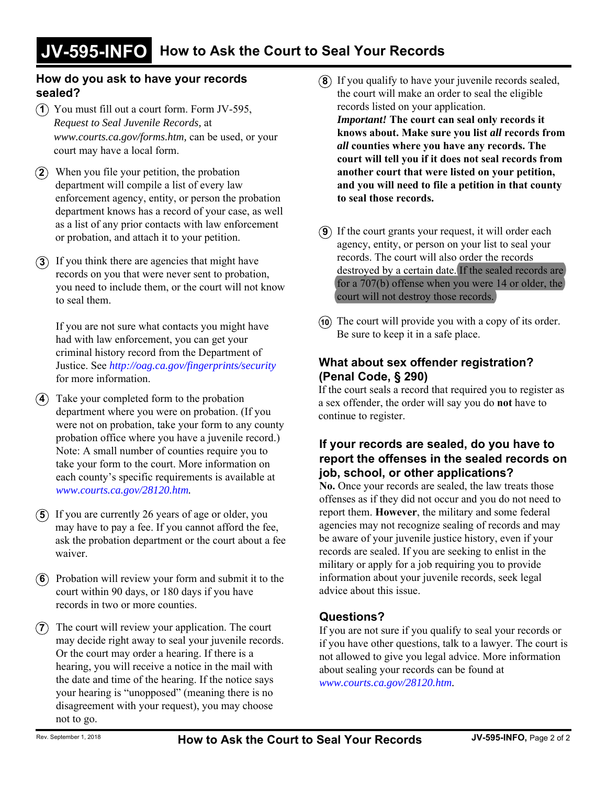#### **How do you ask to have your records sealed?**

- You must fill out a court form. Form JV-595, **1***Request to Seal Juvenile Records,* at *www.courts.ca.gov/forms.htm,* can be used, or your court may have a local form.
- When you file your petition, the probation **2** department will compile a list of every law enforcement agency, entity, or person the probation department knows has a record of your case, as well as a list of any prior contacts with law enforcement or probation, and attach it to your petition.
- **3**) If you think there are agencies that might have records on you that were never sent to probation, you need to include them, or the court will not know to seal them.

If you are not sure what contacts you might have had with law enforcement, you can get your criminal history record from the Department of Justice. See *http://oag.ca.gov/fingerprints/security* for more information.

- Take your completed form to the probation **4** department where you were on probation. (If you were not on probation, take your form to any county probation office where you have a juvenile record.) Note: A small number of counties require you to take your form to the court. More information on each county's specific requirements is available at *www.courts.ca.gov/28120.htm.*
- **5**) If you are currently 26 years of age or older, you may have to pay a fee. If you cannot afford the fee, ask the probation department or the court about a fee waiver.
- Probation will review your form and submit it to the **6** court within 90 days, or 180 days if you have records in two or more counties.
- **7**) The court will review your application. The court may decide right away to seal your juvenile records. Or the court may order a hearing. If there is a hearing, you will receive a notice in the mail with the date and time of the hearing. If the notice says your hearing is "unopposed" (meaning there is no disagreement with your request), you may choose not to go.
- **8**) If you qualify to have your juvenile records sealed, the court will make an order to seal the eligible records listed on your application. *Important!* **The court can seal only records it knows about. Make sure you list** *all* **records from**  *all* **counties where you have any records. The court will tell you if it does not seal records from another court that were listed on your petition, and you will need to file a petition in that county to seal those records.**
- **9**) If the court grants your request, it will order each agency, entity, or person on your list to seal your records. The court will also order the records destroyed by a certain date. If the sealed records are for a 707(b) offense when you were 14 or older, the court will not destroy those records.
- The court will provide you with a copy of its order. **10** Be sure to keep it in a safe place.

## **What about sex offender registration? (Penal Code, § 290)**

If the court seals a record that required you to register as a sex offender, the order will say you do **not** have to continue to register.

### **If your records are sealed, do you have to report the offenses in the sealed records on job, school, or other applications?**

**No.** Once your records are sealed, the law treats those offenses as if they did not occur and you do not need to report them. **However**, the military and some federal agencies may not recognize sealing of records and may be aware of your juvenile justice history, even if your records are sealed. If you are seeking to enlist in the military or apply for a job requiring you to provide information about your juvenile records, seek legal advice about this issue.

## **Questions?**

If you are not sure if you qualify to seal your records or if you have other questions, talk to a lawyer. The court is not allowed to give you legal advice. More information about sealing your records can be found at *www.courts.ca.gov/28120.htm.*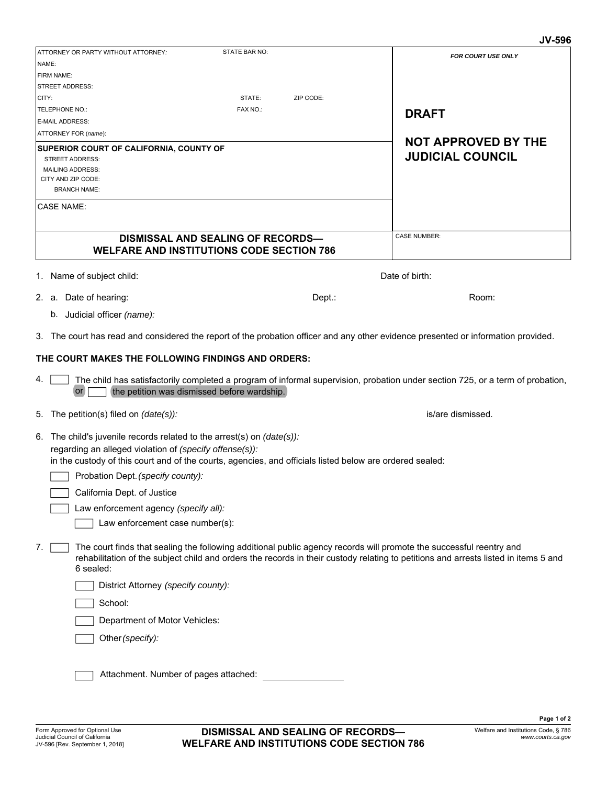|                                                                           |                                                                                                                                                                     | <b>JV-596</b>                                                                                                                                                                                                                                              |  |  |
|---------------------------------------------------------------------------|---------------------------------------------------------------------------------------------------------------------------------------------------------------------|------------------------------------------------------------------------------------------------------------------------------------------------------------------------------------------------------------------------------------------------------------|--|--|
| ATTORNEY OR PARTY WITHOUT ATTORNEY:                                       | STATE BAR NO:                                                                                                                                                       | <b>FOR COURT USE ONLY</b>                                                                                                                                                                                                                                  |  |  |
| NAME:                                                                     |                                                                                                                                                                     |                                                                                                                                                                                                                                                            |  |  |
| FIRM NAME:                                                                |                                                                                                                                                                     |                                                                                                                                                                                                                                                            |  |  |
| <b>STREET ADDRESS:</b>                                                    |                                                                                                                                                                     |                                                                                                                                                                                                                                                            |  |  |
| CITY:                                                                     | STATE:<br>ZIP CODE:                                                                                                                                                 |                                                                                                                                                                                                                                                            |  |  |
| TELEPHONE NO.:                                                            | FAX NO.:                                                                                                                                                            | <b>DRAFT</b>                                                                                                                                                                                                                                               |  |  |
| E-MAIL ADDRESS:                                                           |                                                                                                                                                                     |                                                                                                                                                                                                                                                            |  |  |
| ATTORNEY FOR (name):                                                      |                                                                                                                                                                     |                                                                                                                                                                                                                                                            |  |  |
| SUPERIOR COURT OF CALIFORNIA, COUNTY OF                                   |                                                                                                                                                                     | <b>NOT APPROVED BY THE</b>                                                                                                                                                                                                                                 |  |  |
| <b>STREET ADDRESS:</b>                                                    |                                                                                                                                                                     | <b>JUDICIAL COUNCIL</b>                                                                                                                                                                                                                                    |  |  |
| <b>MAILING ADDRESS:</b>                                                   |                                                                                                                                                                     |                                                                                                                                                                                                                                                            |  |  |
| CITY AND ZIP CODE:                                                        |                                                                                                                                                                     |                                                                                                                                                                                                                                                            |  |  |
| <b>BRANCH NAME:</b><br><b>CASE NAME:</b>                                  |                                                                                                                                                                     |                                                                                                                                                                                                                                                            |  |  |
|                                                                           |                                                                                                                                                                     |                                                                                                                                                                                                                                                            |  |  |
|                                                                           | <b>DISMISSAL AND SEALING OF RECORDS-</b><br><b>WELFARE AND INSTITUTIONS CODE SECTION 786</b>                                                                        | <b>CASE NUMBER:</b>                                                                                                                                                                                                                                        |  |  |
| 1. Name of subject child:                                                 |                                                                                                                                                                     | Date of birth:                                                                                                                                                                                                                                             |  |  |
| 2. a. Date of hearing:                                                    | Dept.:                                                                                                                                                              | Room:                                                                                                                                                                                                                                                      |  |  |
| b. Judicial officer (name):                                               |                                                                                                                                                                     |                                                                                                                                                                                                                                                            |  |  |
|                                                                           |                                                                                                                                                                     | 3. The court has read and considered the report of the probation officer and any other evidence presented or information provided.                                                                                                                         |  |  |
|                                                                           |                                                                                                                                                                     |                                                                                                                                                                                                                                                            |  |  |
| THE COURT MAKES THE FOLLOWING FINDINGS AND ORDERS:                        |                                                                                                                                                                     |                                                                                                                                                                                                                                                            |  |  |
| 4.<br>or                                                                  | the petition was dismissed before wardship.                                                                                                                         | The child has satisfactorily completed a program of informal supervision, probation under section 725, or a term of probation,                                                                                                                             |  |  |
| 5. The petition(s) filed on (date(s)):                                    |                                                                                                                                                                     | is/are dismissed.                                                                                                                                                                                                                                          |  |  |
| 6. The child's juvenile records related to the arrest(s) on $(date(s))$ : |                                                                                                                                                                     |                                                                                                                                                                                                                                                            |  |  |
|                                                                           |                                                                                                                                                                     |                                                                                                                                                                                                                                                            |  |  |
|                                                                           | regarding an alleged violation of (specify offense(s)):<br>in the custody of this court and of the courts, agencies, and officials listed below are ordered sealed: |                                                                                                                                                                                                                                                            |  |  |
|                                                                           |                                                                                                                                                                     |                                                                                                                                                                                                                                                            |  |  |
| Probation Dept. (specify county):                                         |                                                                                                                                                                     |                                                                                                                                                                                                                                                            |  |  |
| California Dept. of Justice                                               |                                                                                                                                                                     |                                                                                                                                                                                                                                                            |  |  |
| Law enforcement agency (specify all):                                     |                                                                                                                                                                     |                                                                                                                                                                                                                                                            |  |  |
| Law enforcement case number(s):                                           |                                                                                                                                                                     |                                                                                                                                                                                                                                                            |  |  |
| 7.<br>6 sealed:                                                           |                                                                                                                                                                     | The court finds that sealing the following additional public agency records will promote the successful reentry and<br>rehabilitation of the subject child and orders the records in their custody relating to petitions and arrests listed in items 5 and |  |  |
| District Attorney (specify county):                                       |                                                                                                                                                                     |                                                                                                                                                                                                                                                            |  |  |
| School:                                                                   |                                                                                                                                                                     |                                                                                                                                                                                                                                                            |  |  |
| Department of Motor Vehicles:                                             |                                                                                                                                                                     |                                                                                                                                                                                                                                                            |  |  |
| Other (specify):                                                          |                                                                                                                                                                     |                                                                                                                                                                                                                                                            |  |  |
| Attachment. Number of pages attached:                                     |                                                                                                                                                                     |                                                                                                                                                                                                                                                            |  |  |
|                                                                           |                                                                                                                                                                     |                                                                                                                                                                                                                                                            |  |  |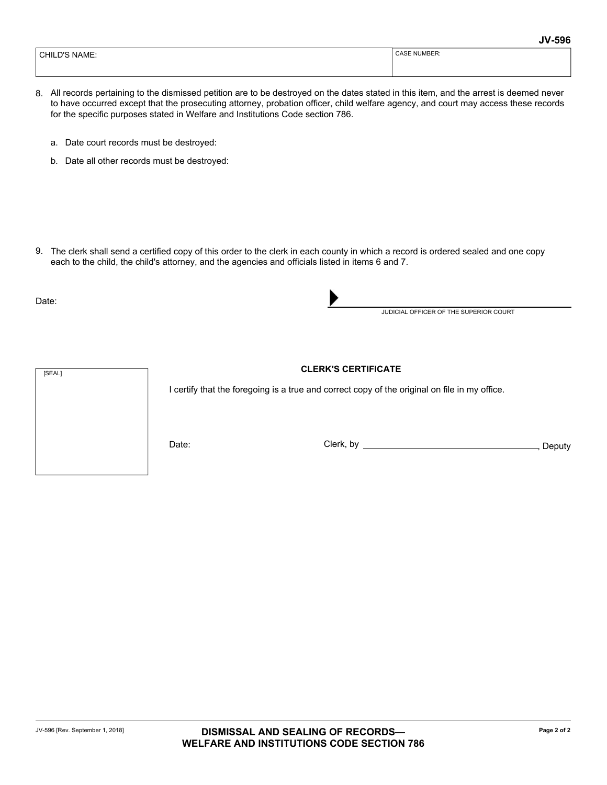| NAME.<br>CHII.<br>ັ | 'MBER:<br>-<br>^<br>NI. |
|---------------------|-------------------------|
|                     |                         |

- All records pertaining to the dismissed petition are to be destroyed on the dates stated in this item, and the arrest is deemed never 8. to have occurred except that the prosecuting attorney, probation officer, child welfare agency, and court may access these records for the specific purposes stated in Welfare and Institutions Code section 786.
	- a. Date court records must be destroyed:
	- b. Date all other records must be destroyed:

9. The clerk shall send a certified copy of this order to the clerk in each county in which a record is ordered sealed and one copy each to the child, the child's attorney, and the agencies and officials listed in items 6 and 7.

Date:



I certify that the foregoing is a true and correct copy of the original on file in my office.

Date: Clerk, by , Deputy

JUDICIAL OFFICER OF THE SUPERIOR COURT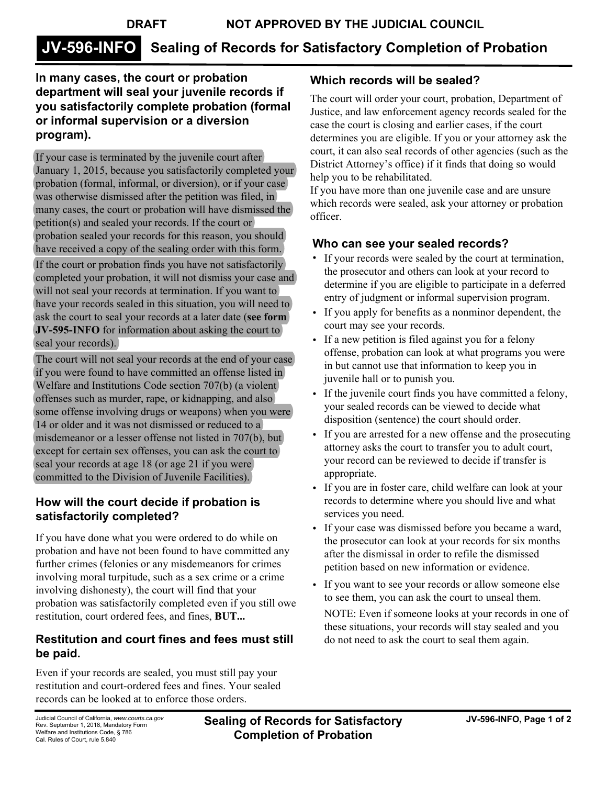# **JV-596-INFO Sealing of Records for Satisfactory Completion of Probation**

### **In many cases, the court or probation department will seal your juvenile records if you satisfactorily complete probation (formal or informal supervision or a diversion program).**

If your case is terminated by the juvenile court after January 1, 2015, because you satisfactorily completed your probation (formal, informal, or diversion), or if your case was otherwise dismissed after the petition was filed, in many cases, the court or probation will have dismissed the petition(s) and sealed your records. If the court or probation sealed your records for this reason, you should have received a copy of the sealing order with this form.

If the court or probation finds you have not satisfactorily completed your probation, it will not dismiss your case and will not seal your records at termination. If you want to have your records sealed in this situation, you will need to ask the court to seal your records at a later date (**see form JV-595-INFO** for information about asking the court to seal your records).

The court will not seal your records at the end of your case if you were found to have committed an offense listed in Welfare and Institutions Code section 707(b) (a violent offenses such as murder, rape, or kidnapping, and also some offense involving drugs or weapons) when you were 14 or older and it was not dismissed or reduced to a misdemeanor or a lesser offense not listed in 707(b), but except for certain sex offenses, you can ask the court to seal your records at age 18 (or age 21 if you were committed to the Division of Juvenile Facilities).

#### **How will the court decide if probation is satisfactorily completed?**

If you have done what you were ordered to do while on probation and have not been found to have committed any further crimes (felonies or any misdemeanors for crimes involving moral turpitude, such as a sex crime or a crime involving dishonesty), the court will find that your probation was satisfactorily completed even if you still owe restitution, court ordered fees, and fines, **BUT...**

# **Restitution and court fines and fees must still be paid.**

Even if your records are sealed, you must still pay your restitution and court-ordered fees and fines. Your sealed records can be looked at to enforce those orders.

# **Which records will be sealed?**

The court will order your court, probation, Department of Justice, and law enforcement agency records sealed for the case the court is closing and earlier cases, if the court determines you are eligible. If you or your attorney ask the court, it can also seal records of other agencies (such as the District Attorney's office) if it finds that doing so would help you to be rehabilitated.

If you have more than one juvenile case and are unsure which records were sealed, ask your attorney or probation officer.

## **Who can see your sealed records?**

- If your records were sealed by the court at termination, the prosecutor and others can look at your record to determine if you are eligible to participate in a deferred entry of judgment or informal supervision program.
- If you apply for benefits as a nonminor dependent, the court may see your records.
- If a new petition is filed against you for a felony offense, probation can look at what programs you were in but cannot use that information to keep you in juvenile hall or to punish you.
- If the juvenile court finds you have committed a felony, your sealed records can be viewed to decide what disposition (sentence) the court should order.
- If you are arrested for a new offense and the prosecuting attorney asks the court to transfer you to adult court, your record can be reviewed to decide if transfer is appropriate.
- If you are in foster care, child welfare can look at your records to determine where you should live and what services you need.
- If your case was dismissed before you became a ward, the prosecutor can look at your records for six months after the dismissal in order to refile the dismissed petition based on new information or evidence.
- If you want to see your records or allow someone else to see them, you can ask the court to unseal them.

NOTE: Even if someone looks at your records in one of these situations, your records will stay sealed and you do not need to ask the court to seal them again.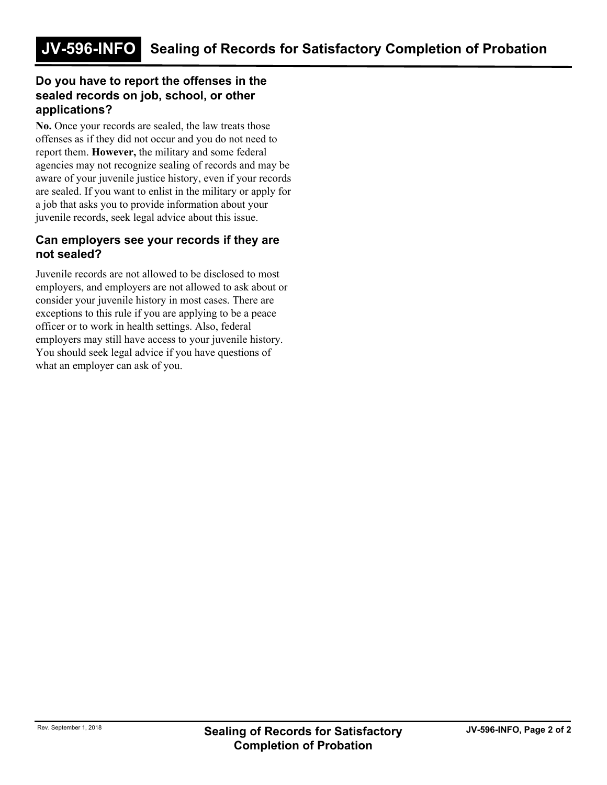#### **Do you have to report the offenses in the sealed records on job, school, or other applications?**

**No.** Once your records are sealed, the law treats those offenses as if they did not occur and you do not need to report them. **However,** the military and some federal agencies may not recognize sealing of records and may be aware of your juvenile justice history, even if your records are sealed. If you want to enlist in the military or apply for a job that asks you to provide information about your juvenile records, seek legal advice about this issue.

#### **Can employers see your records if they are not sealed?**

Juvenile records are not allowed to be disclosed to most employers, and employers are not allowed to ask about or consider your juvenile history in most cases. There are exceptions to this rule if you are applying to be a peace officer or to work in health settings. Also, federal employers may still have access to your juvenile history. You should seek legal advice if you have questions of what an employer can ask of you.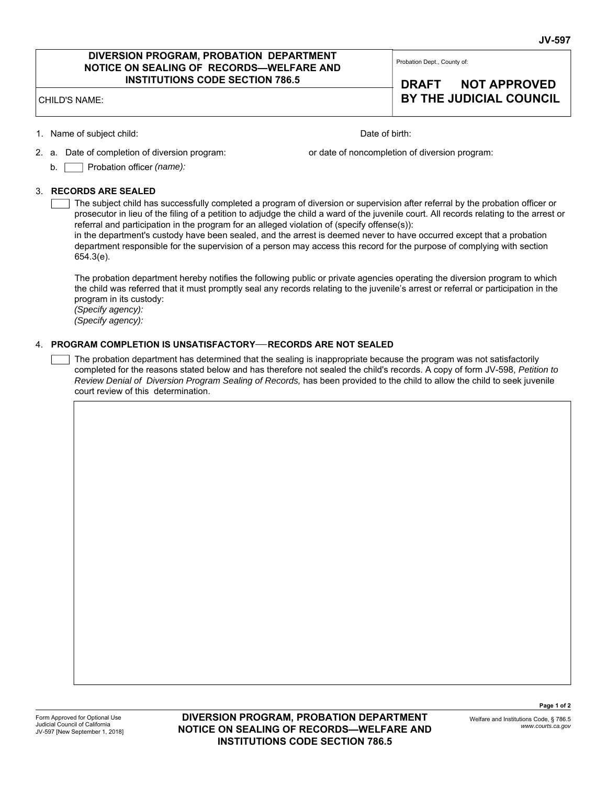#### **DIVERSION PROGRAM, PROBATION DEPARTMENT NOTICE ON SEALING OF RECORDS—WELFARE AND INSTITUTIONS CODE SECTION 786.5**

CHILD'S NAME: **BY THE JUDICIAL COUNCIL**

1. Name of subject child: Date of birth:

2. a. Date of completion of diversion program:

or date of noncompletion of diversion program:

Probation Dept., County of:

**DRAFT NOT APPROVED** 

Probation officer *(name):*  $b. \square$ 

#### 3. **RECORDS ARE SEALED**

The subject child has successfully completed a program of diversion or supervision after referral by the probation officer or prosecutor in lieu of the filing of a petition to adjudge the child a ward of the juvenile court. All records relating to the arrest or referral and participation in the program for an alleged violation of (specify offense(s)):

in the department's custody have been sealed, and the arrest is deemed never to have occurred except that a probation department responsible for the supervision of a person may access this record for the purpose of complying with section 654.3(e).

The probation department hereby notifies the following public or private agencies operating the diversion program to which the child was referred that it must promptly seal any records relating to the juvenile's arrest or referral or participation in the program in its custody:

*(Specify agency): (Specify agency):* 

#### 4. **PROGRAM COMPLETION IS UNSATISFACTORY RECORDS ARE NOT SEALED**

The probation department has determined that the sealing is inappropriate because the program was not satisfactorily completed for the reasons stated below and has therefore not sealed the child's records. A copy of form JV-598, *Petition to Review Denial of Diversion Program Sealing of Records,* has been provided to the child to allow the child to seek juvenile court review of this determination.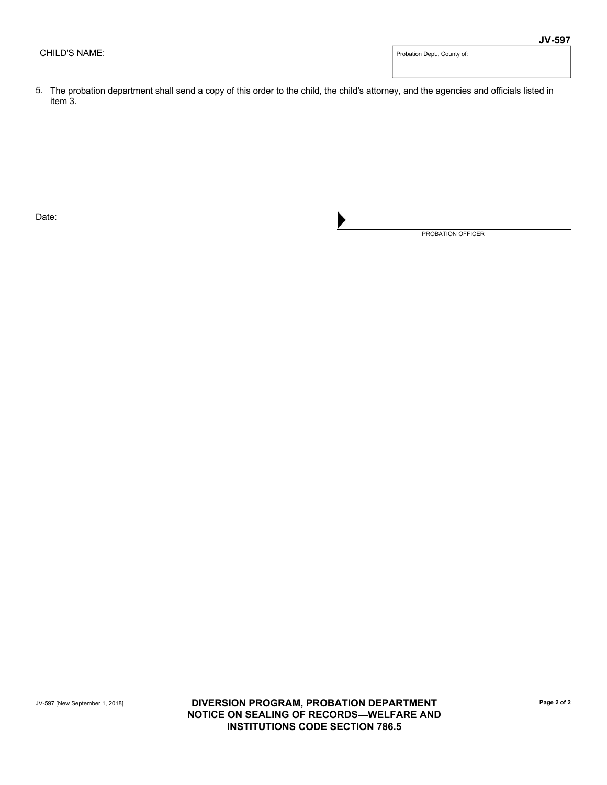|               | ----                        |
|---------------|-----------------------------|
| CHILD'S NAME: | Probation Dept., County of: |
|               |                             |

5. The probation department shall send a copy of this order to the child, the child's attorney, and the agencies and officials listed in item 3.

Date:

PROBATION OFFICER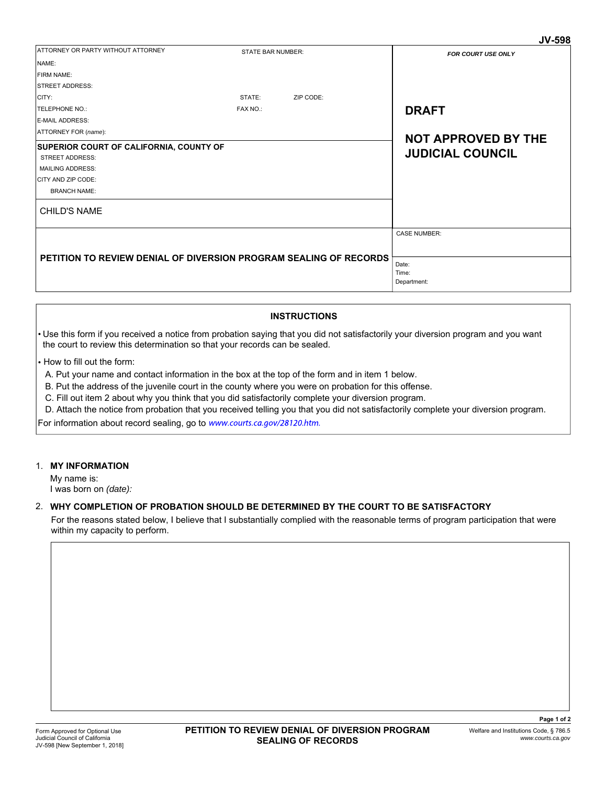| ATTORNEY OR PARTY WITHOUT ATTORNEY<br><b>STATE BAR NUMBER:</b><br><b>FOR COURT USE ONLY</b><br>NAME:<br>FIRM NAME: |  |
|--------------------------------------------------------------------------------------------------------------------|--|
|                                                                                                                    |  |
|                                                                                                                    |  |
|                                                                                                                    |  |
| <b>STREET ADDRESS:</b>                                                                                             |  |
| CITY:<br>STATE:<br>ZIP CODE:                                                                                       |  |
| <b>DRAFT</b><br>FAX NO.:<br><b>TELEPHONE NO.:</b>                                                                  |  |
| <b>E-MAIL ADDRESS:</b>                                                                                             |  |
| ATTORNEY FOR (name):<br><b>NOT APPROVED BY THE</b>                                                                 |  |
| SUPERIOR COURT OF CALIFORNIA, COUNTY OF                                                                            |  |
| <b>JUDICIAL COUNCIL</b><br><b>STREET ADDRESS:</b>                                                                  |  |
| <b>MAILING ADDRESS:</b>                                                                                            |  |
| CITY AND ZIP CODE:                                                                                                 |  |
| <b>BRANCH NAME:</b>                                                                                                |  |
| <b>CHILD'S NAME</b>                                                                                                |  |
| <b>CASE NUMBER:</b>                                                                                                |  |
|                                                                                                                    |  |
|                                                                                                                    |  |
| PETITION TO REVIEW DENIAL OF DIVERSION PROGRAM SEALING OF RECORDS<br>Date:                                         |  |
| Time:                                                                                                              |  |
| Department:                                                                                                        |  |

#### **INSTRUCTIONS**

- Use this form if you received a notice from probation saying that you did not satisfactorily your diversion program and you want the court to review this determination so that your records can be sealed.
- How to fill out the form:
- A. Put your name and contact information in the box at the top of the form and in item 1 below.
- B. Put the address of the juvenile court in the county where you were on probation for this offense.
- C. Fill out item 2 about why you think that you did satisfactorily complete your diversion program.
- D. Attach the notice from probation that you received telling you that you did not satisfactorily complete your diversion program.

For information about record sealing, go to www.courts.ca.gov/28120.htm.

#### 1. **MY INFORMATION**

My name is: I was born on *(date):*

#### 2. **WHY COMPLETION OF PROBATION SHOULD BE DETERMINED BY THE COURT TO BE SATISFACTORY**

For the reasons stated below, I believe that I substantially complied with the reasonable terms of program participation that were within my capacity to perform.

**JV-598**